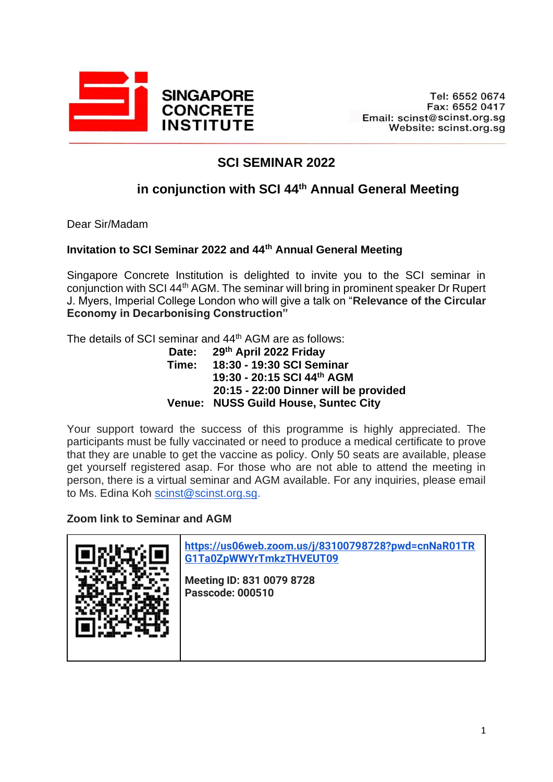

# **SCI SEMINAR 2022**

## **in conjunction with SCI 44th Annual General Meeting**

Dear Sir/Madam

#### **Invitation to SCI Seminar 2022 and 44th Annual General Meeting**

Singapore Concrete Institution is delighted to invite you to the SCI seminar in conjunction with SCI 44th AGM. The seminar will bring in prominent speaker Dr Rupert J. Myers, Imperial College London who will give a talk on "**Relevance of the Circular Economy in Decarbonising Construction"** 

The details of SCI seminar and 44<sup>th</sup> AGM are as follows:

#### **Date: 29th April 2022 Friday Time: 18:30 - 19:30 SCI Seminar 19:30 - 20:15 SCI 44th AGM 20:15 - 22:00 Dinner will be provided Venue: NUSS Guild House, Suntec City**

Your support toward the success of this programme is highly appreciated. The participants must be fully vaccinated or need to produce a medical certificate to prove that they are unable to get the vaccine as policy. Only 50 seats are available, please get yourself registered asap. For those who are not able to attend the meeting in person, there is a virtual seminar and AGM available. For any inquiries, please email to Ms. Edina Koh [scinst@scinst.org.sg.](mailto:scinst@scinst.org.sg)

#### **Zoom link to Seminar and AGM**

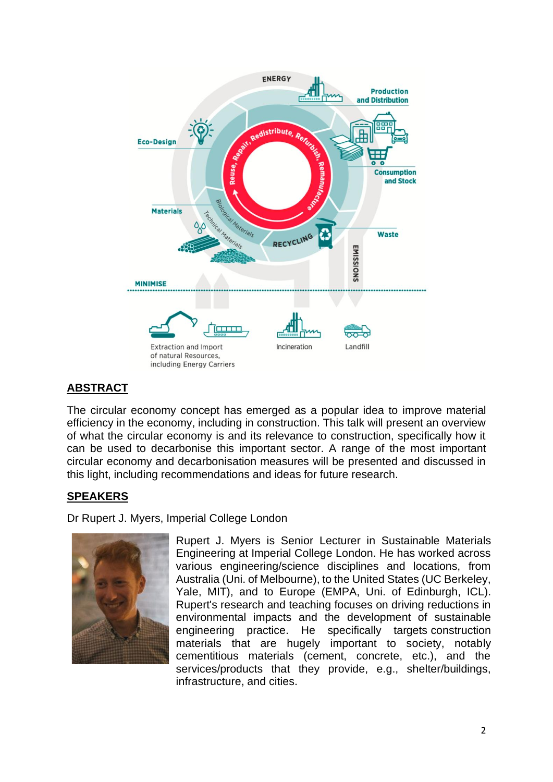

## **ABSTRACT**

The circular economy concept has emerged as a popular idea to improve material efficiency in the economy, including in construction. This talk will present an overview of what the circular economy is and its relevance to construction, specifically how it can be used to decarbonise this important sector. A range of the most important circular economy and decarbonisation measures will be presented and discussed in this light, including recommendations and ideas for future research.

### **SPEAKERS**

Dr Rupert J. Myers, Imperial College London



Rupert J. Myers is Senior Lecturer in Sustainable Materials Engineering at Imperial College London. He has worked across various engineering/science disciplines and locations, from Australia (Uni. of Melbourne), to the United States (UC Berkeley, Yale, MIT), and to Europe (EMPA, Uni. of Edinburgh, ICL). Rupert's research and teaching focuses on driving reductions in environmental impacts and the development of sustainable engineering practice. He specifically targets construction materials that are hugely important to society, notably cementitious materials (cement, concrete, etc.), and the services/products that they provide, e.g., shelter/buildings, infrastructure, and cities.